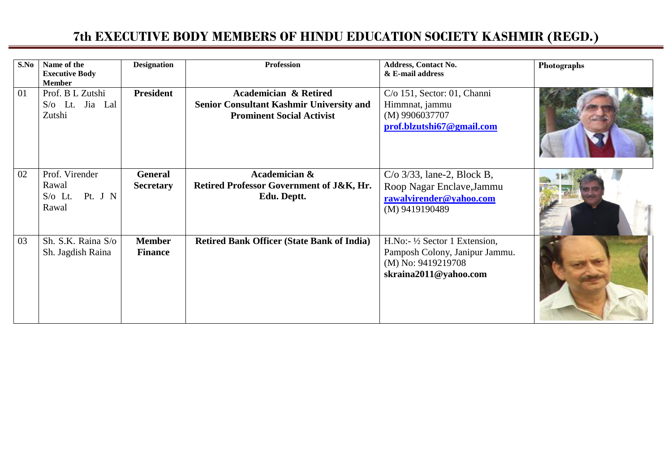| S.No | Name of the<br><b>Executive Body</b><br><b>Member</b>     | <b>Designation</b>              | <b>Profession</b>                                                                                                | <b>Address, Contact No.</b><br>& E-mail address                                                                           | Photographs |
|------|-----------------------------------------------------------|---------------------------------|------------------------------------------------------------------------------------------------------------------|---------------------------------------------------------------------------------------------------------------------------|-------------|
| 01   | Prof. B L Zutshi<br>S/o Lt. Jia Lal<br>Zutshi             | <b>President</b>                | <b>Academician &amp; Retired</b><br>Senior Consultant Kashmir University and<br><b>Prominent Social Activist</b> | $C/O$ 151, Sector: 01, Channi<br>Himmnat, jammu<br>$(M)$ 9906037707<br>prof.blzutshi67@gmail.com                          |             |
| 02   | Prof. Virender<br>Rawal<br>Pt. J N<br>$S$ /0 Lt.<br>Rawal | General<br><b>Secretary</b>     | Academician &<br>Retired Professor Government of J&K, Hr.<br>Edu. Deptt.                                         | $C/\sigma$ 3/33, lane-2, Block B,<br>Roop Nagar Enclave, Jammu<br>rawalvirender@yahoo.com<br>(M) 9419190489               |             |
| 03   | Sh. S.K. Raina S/o<br>Sh. Jagdish Raina                   | <b>Member</b><br><b>Finance</b> | <b>Retired Bank Officer (State Bank of India)</b>                                                                | H.No:- $\frac{1}{2}$ Sector 1 Extension,<br>Pamposh Colony, Janipur Jammu.<br>(M) No: 9419219708<br>skraina2011@yahoo.com |             |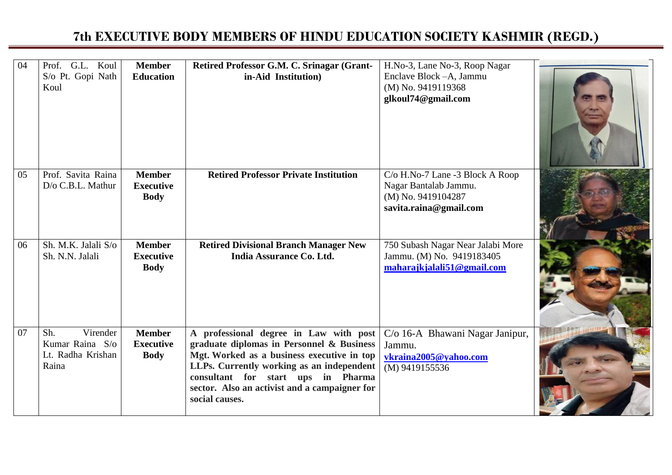| 04 | Prof. G.L. Koul<br>S/o Pt. Gopi Nath<br>Koul                     | <b>Member</b><br><b>Education</b>                | Retired Professor G.M. C. Srinagar (Grant-<br>in-Aid Institution)                                                                                                                                                                                                                       | H.No-3, Lane No-3, Roop Nagar<br>Enclave Block - A, Jammu<br>(M) No. 9419119368<br>glkoul74@gmail.com    |  |
|----|------------------------------------------------------------------|--------------------------------------------------|-----------------------------------------------------------------------------------------------------------------------------------------------------------------------------------------------------------------------------------------------------------------------------------------|----------------------------------------------------------------------------------------------------------|--|
| 05 | Prof. Savita Raina<br>D/o C.B.L. Mathur                          | <b>Member</b><br><b>Executive</b><br><b>Body</b> | <b>Retired Professor Private Institution</b>                                                                                                                                                                                                                                            | C/o H.No-7 Lane -3 Block A Roop<br>Nagar Bantalab Jammu.<br>(M) No. 9419104287<br>savita.raina@gmail.com |  |
| 06 | Sh. M.K. Jalali S/o<br>Sh. N.N. Jalali                           | <b>Member</b><br><b>Executive</b><br><b>Body</b> | <b>Retired Divisional Branch Manager New</b><br>India Assurance Co. Ltd.                                                                                                                                                                                                                | 750 Subash Nagar Near Jalabi More<br>Jammu. (M) No. 9419183405<br>maharajkjalali51@gmail.com             |  |
| 07 | Virender<br>Sh.<br>Kumar Raina S/o<br>Lt. Radha Krishan<br>Raina | <b>Member</b><br><b>Executive</b><br><b>Body</b> | A professional degree in Law with post<br>graduate diplomas in Personnel & Business<br>Mgt. Worked as a business executive in top<br>LLPs. Currently working as an independent<br>consultant for start ups in Pharma<br>sector. Also an activist and a campaigner for<br>social causes. | C/o 16-A Bhawani Nagar Janipur,<br>Jammu.<br>vkraina2005@yahoo.com<br>(M) 9419155536                     |  |